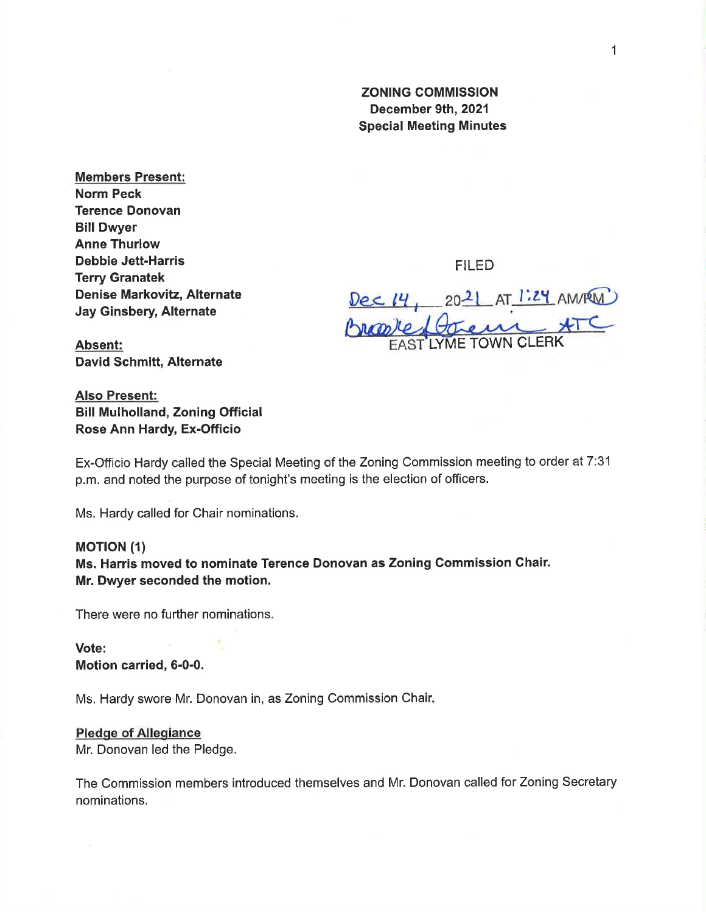## ZONING COMMISSION December 9th, 2021 Special Meeting Minutes

Members Present: Norm Peck Terence Donovan Bill Dwyer Anne Thurlow Debbie Jett-Harris Terry Granatek Denise Markovitz, Alternate Jay Ginsbery, Alternate

FILED

Dec 14, 2021 AT 1:24 AM/RM LYME TOWN CLERK

Absent: David Schmitt, Alternate

Also Present: Bill Mulholland, Zoning Official Rose Ann Hardy, Ex-Officio

Ex-Officio Hardy called the Special Meeting of the Zoning Commission meeting to order at 7:31 p.m. and noted the purpose of tonight's meeting is the election of officers.

Ms. Hardy called for Chair nominations.

## **MOTION (1)**

Ms. Harris moved to nominate Terence Donovan as Zoning Gommission Chair. Mr. Dwyer seconded the motion.

There were no further nominations.

Vote: Motion carried, 6-0-0.

Ms. Hardy swore Mr. Donovan in, as Zoning Commission Chair,

## Pledge of Allegiance

Mr. Donovan led the Pledge.

The Commission members introduced themselves and Mr. Donovan called for Zoning Secretary nominations.